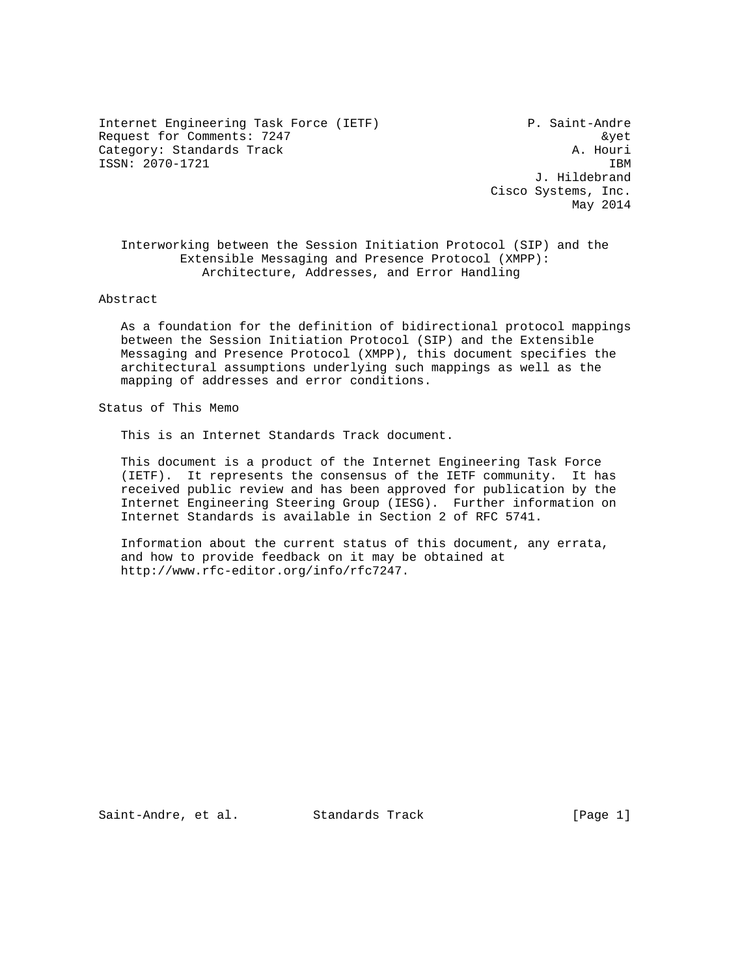Internet Engineering Task Force (IETF) P. Saint-Andre Request for Comments: 7247 &yet Category: Standards Track A. Houri ISSN: 2070-1721 IBM

 J. Hildebrand Cisco Systems, Inc. May 2014

 Interworking between the Session Initiation Protocol (SIP) and the Extensible Messaging and Presence Protocol (XMPP): Architecture, Addresses, and Error Handling

#### Abstract

 As a foundation for the definition of bidirectional protocol mappings between the Session Initiation Protocol (SIP) and the Extensible Messaging and Presence Protocol (XMPP), this document specifies the architectural assumptions underlying such mappings as well as the mapping of addresses and error conditions.

Status of This Memo

This is an Internet Standards Track document.

 This document is a product of the Internet Engineering Task Force (IETF). It represents the consensus of the IETF community. It has received public review and has been approved for publication by the Internet Engineering Steering Group (IESG). Further information on Internet Standards is available in Section 2 of RFC 5741.

 Information about the current status of this document, any errata, and how to provide feedback on it may be obtained at http://www.rfc-editor.org/info/rfc7247.

Saint-Andre, et al. Standards Track [Page 1]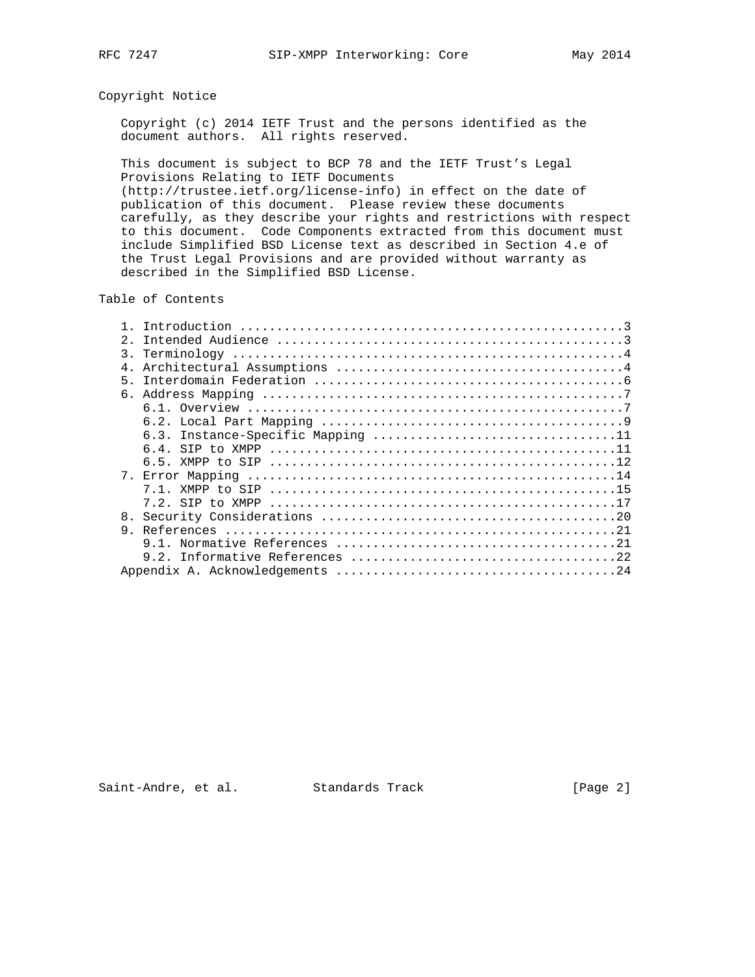## Copyright Notice

 Copyright (c) 2014 IETF Trust and the persons identified as the document authors. All rights reserved.

 This document is subject to BCP 78 and the IETF Trust's Legal Provisions Relating to IETF Documents (http://trustee.ietf.org/license-info) in effect on the date of publication of this document. Please review these documents carefully, as they describe your rights and restrictions with respect to this document. Code Components extracted from this document must include Simplified BSD License text as described in Section 4.e of the Trust Legal Provisions and are provided without warranty as described in the Simplified BSD License.

Table of Contents

|                  | Introduction      |
|------------------|-------------------|
| $2^{\circ}$      |                   |
| $\overline{3}$ . |                   |
| 4.               |                   |
| 5                |                   |
| б.               |                   |
|                  |                   |
|                  |                   |
|                  |                   |
|                  | 64<br>SIP to XMPP |
|                  |                   |
| $7^{\circ}$      |                   |
|                  |                   |
|                  |                   |
| 8 <sub>1</sub>   |                   |
| 9                |                   |
|                  |                   |
|                  |                   |
|                  |                   |

Saint-Andre, et al. Standards Track [Page 2]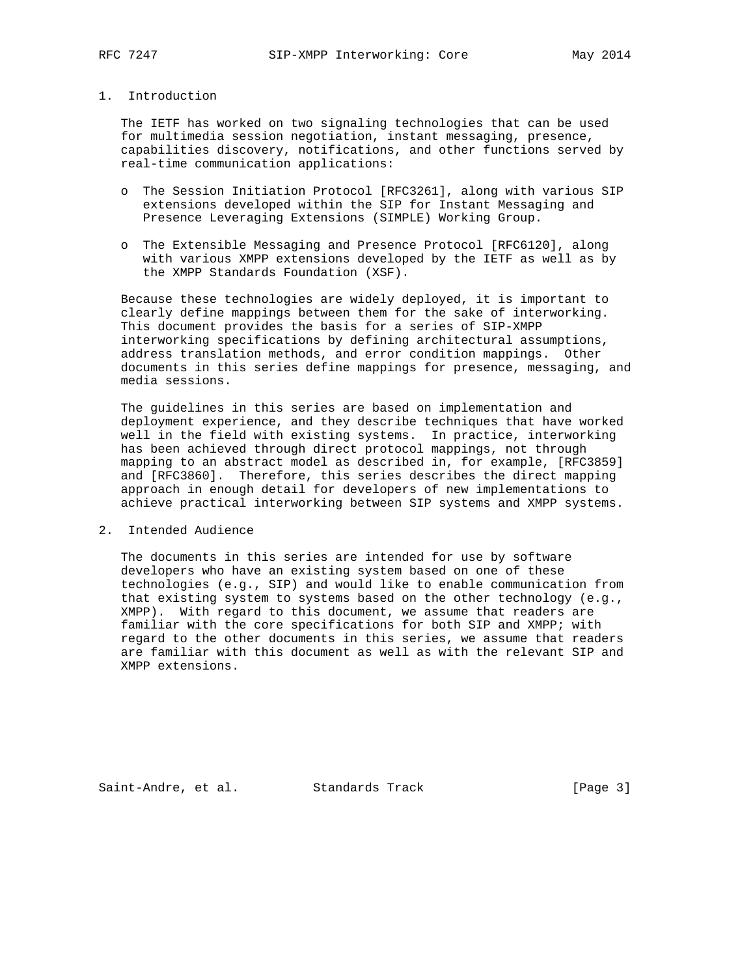## 1. Introduction

 The IETF has worked on two signaling technologies that can be used for multimedia session negotiation, instant messaging, presence, capabilities discovery, notifications, and other functions served by real-time communication applications:

- o The Session Initiation Protocol [RFC3261], along with various SIP extensions developed within the SIP for Instant Messaging and Presence Leveraging Extensions (SIMPLE) Working Group.
- o The Extensible Messaging and Presence Protocol [RFC6120], along with various XMPP extensions developed by the IETF as well as by the XMPP Standards Foundation (XSF).

 Because these technologies are widely deployed, it is important to clearly define mappings between them for the sake of interworking. This document provides the basis for a series of SIP-XMPP interworking specifications by defining architectural assumptions, address translation methods, and error condition mappings. Other documents in this series define mappings for presence, messaging, and media sessions.

 The guidelines in this series are based on implementation and deployment experience, and they describe techniques that have worked well in the field with existing systems. In practice, interworking has been achieved through direct protocol mappings, not through mapping to an abstract model as described in, for example, [RFC3859] and [RFC3860]. Therefore, this series describes the direct mapping approach in enough detail for developers of new implementations to achieve practical interworking between SIP systems and XMPP systems.

2. Intended Audience

 The documents in this series are intended for use by software developers who have an existing system based on one of these technologies (e.g., SIP) and would like to enable communication from that existing system to systems based on the other technology (e.g., XMPP). With regard to this document, we assume that readers are familiar with the core specifications for both SIP and XMPP; with regard to the other documents in this series, we assume that readers are familiar with this document as well as with the relevant SIP and XMPP extensions.

Saint-Andre, et al. Standards Track [Page 3]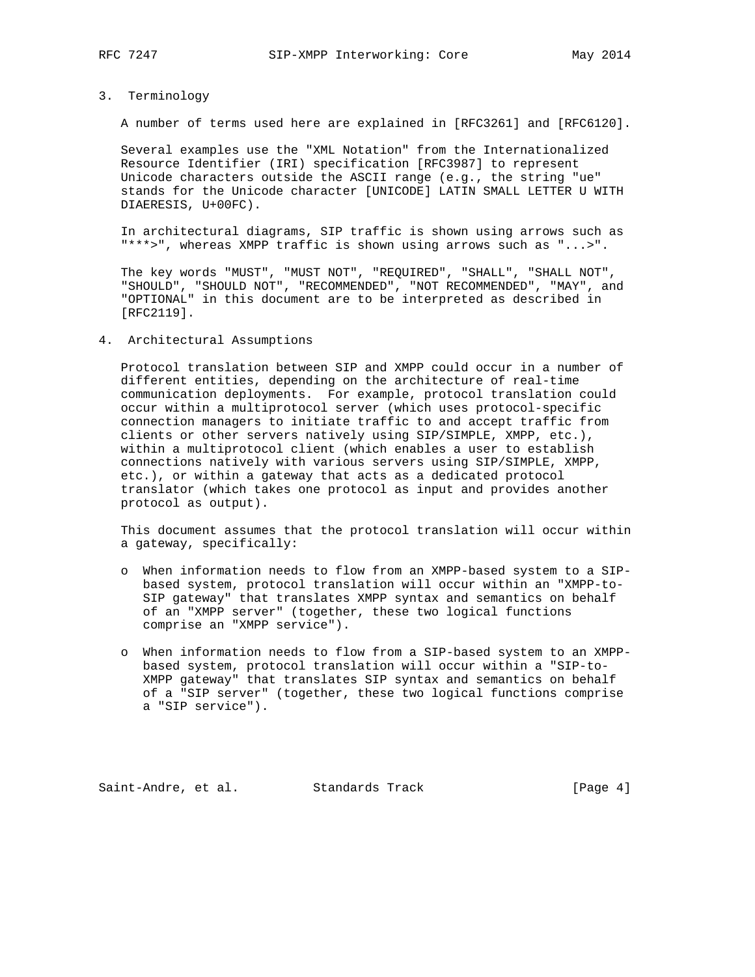#### 3. Terminology

A number of terms used here are explained in [RFC3261] and [RFC6120].

 Several examples use the "XML Notation" from the Internationalized Resource Identifier (IRI) specification [RFC3987] to represent Unicode characters outside the ASCII range (e.g., the string "ue" stands for the Unicode character [UNICODE] LATIN SMALL LETTER U WITH DIAERESIS, U+00FC).

 In architectural diagrams, SIP traffic is shown using arrows such as "\*\*\*>", whereas XMPP traffic is shown using arrows such as "...>".

 The key words "MUST", "MUST NOT", "REQUIRED", "SHALL", "SHALL NOT", "SHOULD", "SHOULD NOT", "RECOMMENDED", "NOT RECOMMENDED", "MAY", and "OPTIONAL" in this document are to be interpreted as described in [RFC2119].

#### 4. Architectural Assumptions

 Protocol translation between SIP and XMPP could occur in a number of different entities, depending on the architecture of real-time communication deployments. For example, protocol translation could occur within a multiprotocol server (which uses protocol-specific connection managers to initiate traffic to and accept traffic from clients or other servers natively using SIP/SIMPLE, XMPP, etc.), within a multiprotocol client (which enables a user to establish connections natively with various servers using SIP/SIMPLE, XMPP, etc.), or within a gateway that acts as a dedicated protocol translator (which takes one protocol as input and provides another protocol as output).

 This document assumes that the protocol translation will occur within a gateway, specifically:

- o When information needs to flow from an XMPP-based system to a SIP based system, protocol translation will occur within an "XMPP-to- SIP gateway" that translates XMPP syntax and semantics on behalf of an "XMPP server" (together, these two logical functions comprise an "XMPP service").
- o When information needs to flow from a SIP-based system to an XMPP based system, protocol translation will occur within a "SIP-to- XMPP gateway" that translates SIP syntax and semantics on behalf of a "SIP server" (together, these two logical functions comprise a "SIP service").

Saint-Andre, et al. Standards Track [Page 4]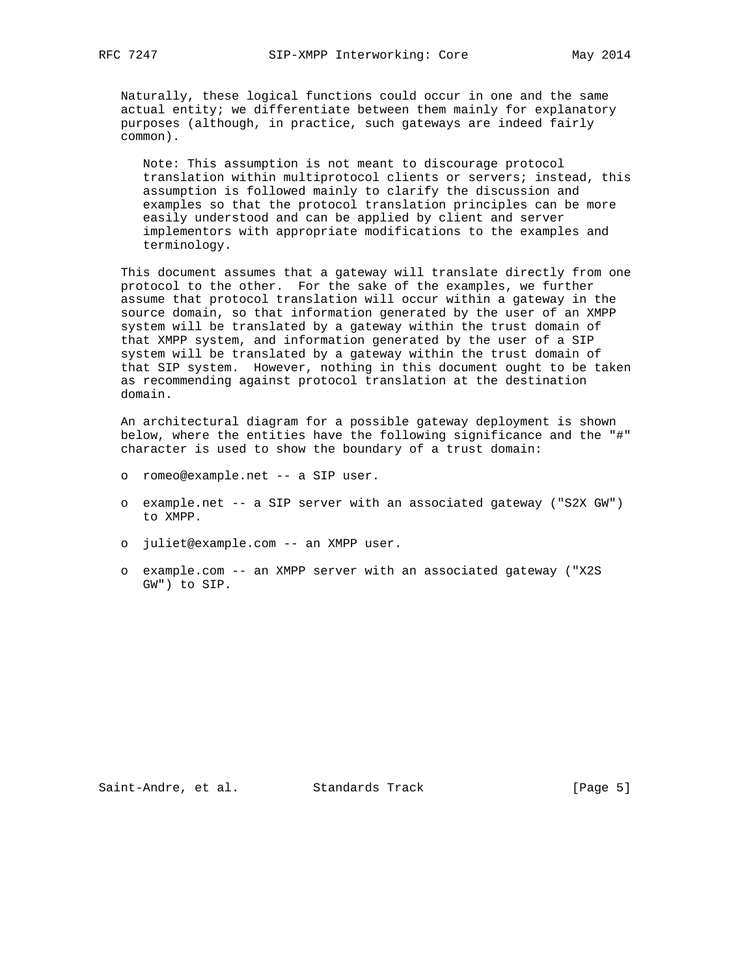Naturally, these logical functions could occur in one and the same actual entity; we differentiate between them mainly for explanatory purposes (although, in practice, such gateways are indeed fairly common).

 Note: This assumption is not meant to discourage protocol translation within multiprotocol clients or servers; instead, this assumption is followed mainly to clarify the discussion and examples so that the protocol translation principles can be more easily understood and can be applied by client and server implementors with appropriate modifications to the examples and terminology.

 This document assumes that a gateway will translate directly from one protocol to the other. For the sake of the examples, we further assume that protocol translation will occur within a gateway in the source domain, so that information generated by the user of an XMPP system will be translated by a gateway within the trust domain of that XMPP system, and information generated by the user of a SIP system will be translated by a gateway within the trust domain of that SIP system. However, nothing in this document ought to be taken as recommending against protocol translation at the destination domain.

 An architectural diagram for a possible gateway deployment is shown below, where the entities have the following significance and the "#" character is used to show the boundary of a trust domain:

- o romeo@example.net -- a SIP user.
- o example.net -- a SIP server with an associated gateway ("S2X GW") to XMPP.
- o juliet@example.com -- an XMPP user.
- o example.com -- an XMPP server with an associated gateway ("X2S GW") to SIP.

Saint-Andre, et al. Standards Track [Page 5]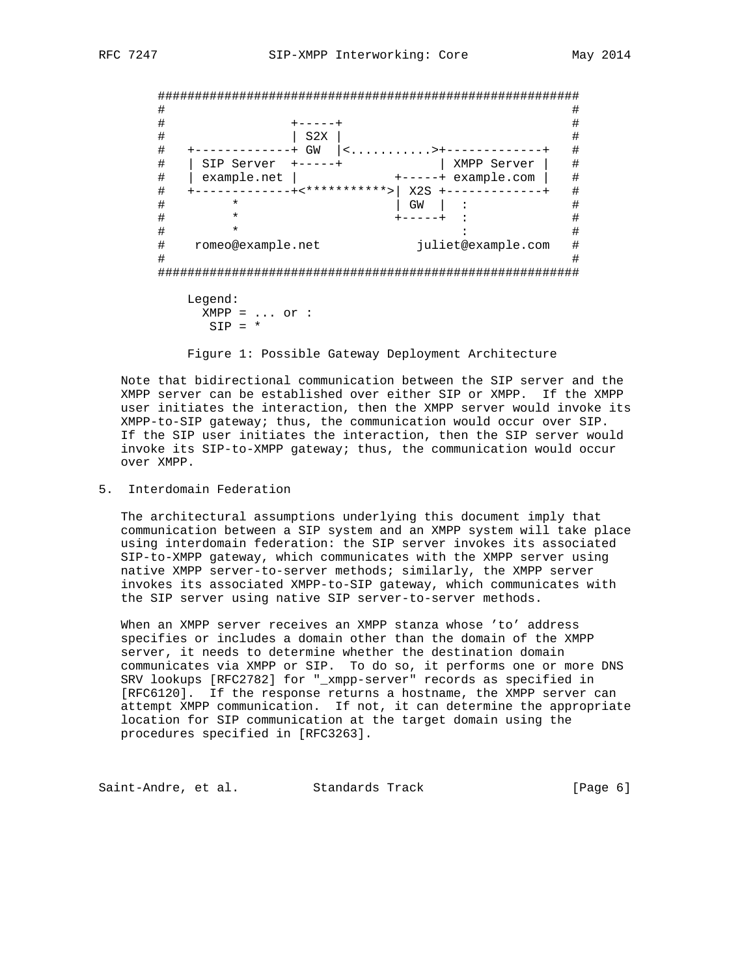######################################################### # # # +-----+ # # | S2X | # # +-------------+ GW |<...........>+-------------+ # # | SIP Server +-----+ | XMPP Server | # # | example.net | +-----+ example.com | # # +-------------+<\*\*\*\*\*\*\*\*\*\*\*>| X2S +-------------+ # # \* | GW | : # # \* +-----+ : #  $\qquad \qquad \, +$   $\qquad \qquad \, +$   $\qquad \qquad \, +$  # romeo@example.net juliet@example.com # # # ######################################################### Legend:

 $XMPP = ... or :$  $SIP = *$ 

Figure 1: Possible Gateway Deployment Architecture

 Note that bidirectional communication between the SIP server and the XMPP server can be established over either SIP or XMPP. If the XMPP user initiates the interaction, then the XMPP server would invoke its XMPP-to-SIP gateway; thus, the communication would occur over SIP. If the SIP user initiates the interaction, then the SIP server would invoke its SIP-to-XMPP gateway; thus, the communication would occur over XMPP.

5. Interdomain Federation

 The architectural assumptions underlying this document imply that communication between a SIP system and an XMPP system will take place using interdomain federation: the SIP server invokes its associated SIP-to-XMPP gateway, which communicates with the XMPP server using native XMPP server-to-server methods; similarly, the XMPP server invokes its associated XMPP-to-SIP gateway, which communicates with the SIP server using native SIP server-to-server methods.

 When an XMPP server receives an XMPP stanza whose 'to' address specifies or includes a domain other than the domain of the XMPP server, it needs to determine whether the destination domain communicates via XMPP or SIP. To do so, it performs one or more DNS SRV lookups [RFC2782] for "\_xmpp-server" records as specified in [RFC6120]. If the response returns a hostname, the XMPP server can attempt XMPP communication. If not, it can determine the appropriate location for SIP communication at the target domain using the procedures specified in [RFC3263].

Saint-Andre, et al. Standards Track (Page 6)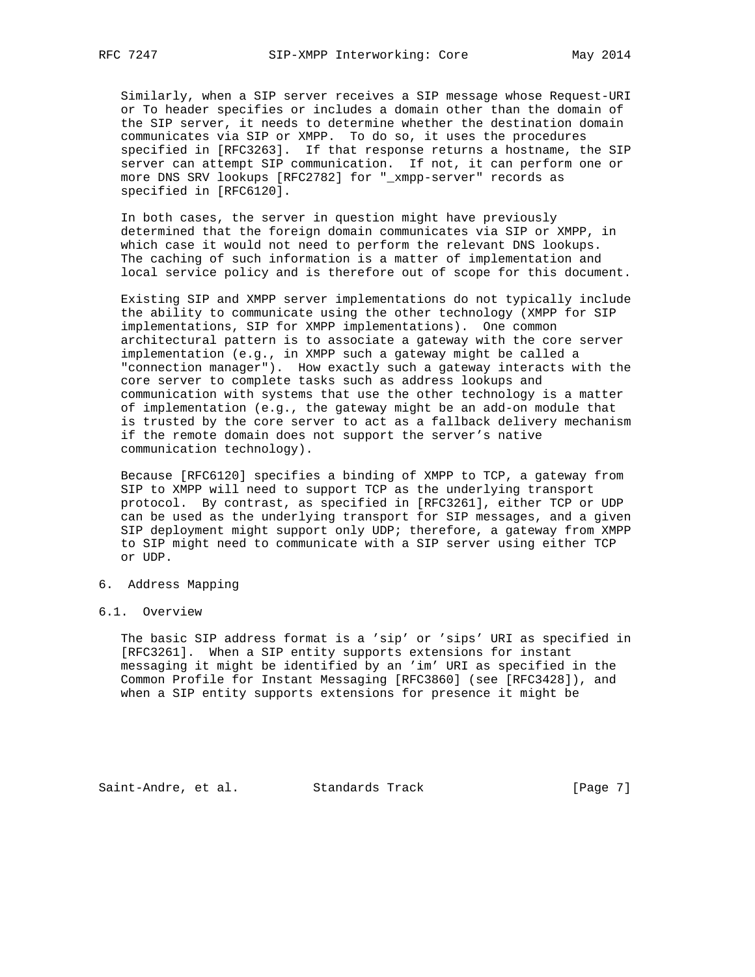Similarly, when a SIP server receives a SIP message whose Request-URI or To header specifies or includes a domain other than the domain of the SIP server, it needs to determine whether the destination domain communicates via SIP or XMPP. To do so, it uses the procedures specified in [RFC3263]. If that response returns a hostname, the SIP server can attempt SIP communication. If not, it can perform one or more DNS SRV lookups [RFC2782] for "\_xmpp-server" records as specified in [RFC6120].

 In both cases, the server in question might have previously determined that the foreign domain communicates via SIP or XMPP, in which case it would not need to perform the relevant DNS lookups. The caching of such information is a matter of implementation and local service policy and is therefore out of scope for this document.

 Existing SIP and XMPP server implementations do not typically include the ability to communicate using the other technology (XMPP for SIP implementations, SIP for XMPP implementations). One common architectural pattern is to associate a gateway with the core server implementation (e.g., in XMPP such a gateway might be called a "connection manager"). How exactly such a gateway interacts with the core server to complete tasks such as address lookups and communication with systems that use the other technology is a matter of implementation (e.g., the gateway might be an add-on module that is trusted by the core server to act as a fallback delivery mechanism if the remote domain does not support the server's native communication technology).

 Because [RFC6120] specifies a binding of XMPP to TCP, a gateway from SIP to XMPP will need to support TCP as the underlying transport protocol. By contrast, as specified in [RFC3261], either TCP or UDP can be used as the underlying transport for SIP messages, and a given SIP deployment might support only UDP; therefore, a gateway from XMPP to SIP might need to communicate with a SIP server using either TCP or UDP.

#### 6. Address Mapping

### 6.1. Overview

 The basic SIP address format is a 'sip' or 'sips' URI as specified in [RFC3261]. When a SIP entity supports extensions for instant messaging it might be identified by an 'im' URI as specified in the Common Profile for Instant Messaging [RFC3860] (see [RFC3428]), and when a SIP entity supports extensions for presence it might be

Saint-Andre, et al. Standards Track [Page 7]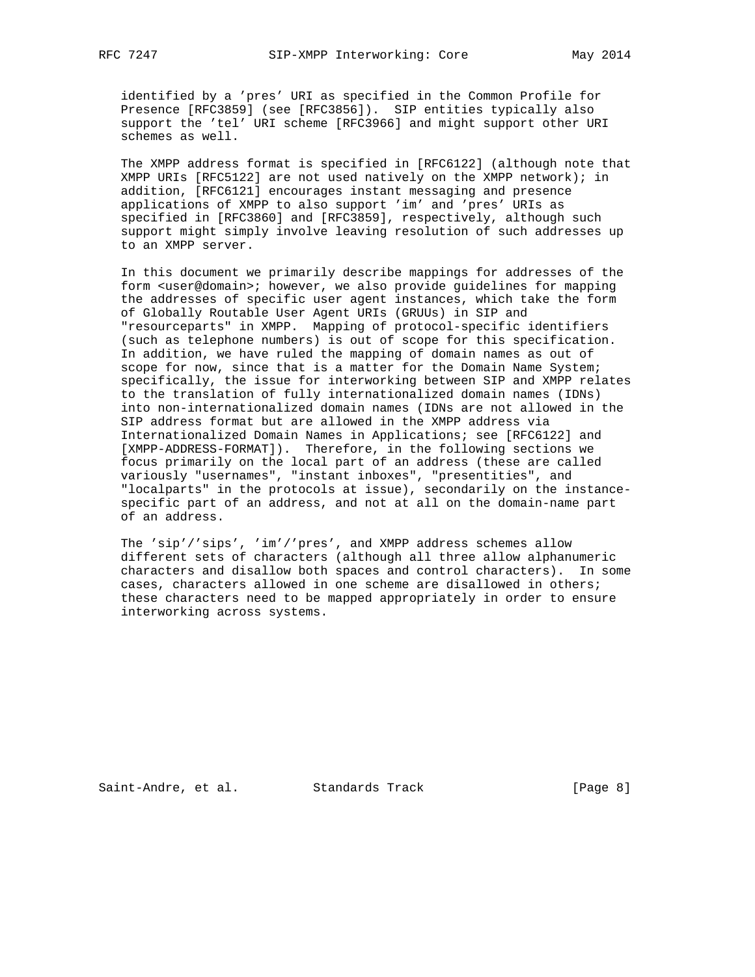identified by a 'pres' URI as specified in the Common Profile for Presence [RFC3859] (see [RFC3856]). SIP entities typically also support the 'tel' URI scheme [RFC3966] and might support other URI schemes as well.

 The XMPP address format is specified in [RFC6122] (although note that XMPP URIs [RFC5122] are not used natively on the XMPP network); in addition, [RFC6121] encourages instant messaging and presence applications of XMPP to also support 'im' and 'pres' URIs as specified in [RFC3860] and [RFC3859], respectively, although such support might simply involve leaving resolution of such addresses up to an XMPP server.

 In this document we primarily describe mappings for addresses of the form <user@domain>; however, we also provide guidelines for mapping the addresses of specific user agent instances, which take the form of Globally Routable User Agent URIs (GRUUs) in SIP and "resourceparts" in XMPP. Mapping of protocol-specific identifiers (such as telephone numbers) is out of scope for this specification. In addition, we have ruled the mapping of domain names as out of scope for now, since that is a matter for the Domain Name System; specifically, the issue for interworking between SIP and XMPP relates to the translation of fully internationalized domain names (IDNs) into non-internationalized domain names (IDNs are not allowed in the SIP address format but are allowed in the XMPP address via Internationalized Domain Names in Applications; see [RFC6122] and [XMPP-ADDRESS-FORMAT]). Therefore, in the following sections we focus primarily on the local part of an address (these are called variously "usernames", "instant inboxes", "presentities", and "localparts" in the protocols at issue), secondarily on the instance specific part of an address, and not at all on the domain-name part of an address.

 The 'sip'/'sips', 'im'/'pres', and XMPP address schemes allow different sets of characters (although all three allow alphanumeric characters and disallow both spaces and control characters). In some cases, characters allowed in one scheme are disallowed in others; these characters need to be mapped appropriately in order to ensure interworking across systems.

Saint-Andre, et al. Standards Track [Page 8]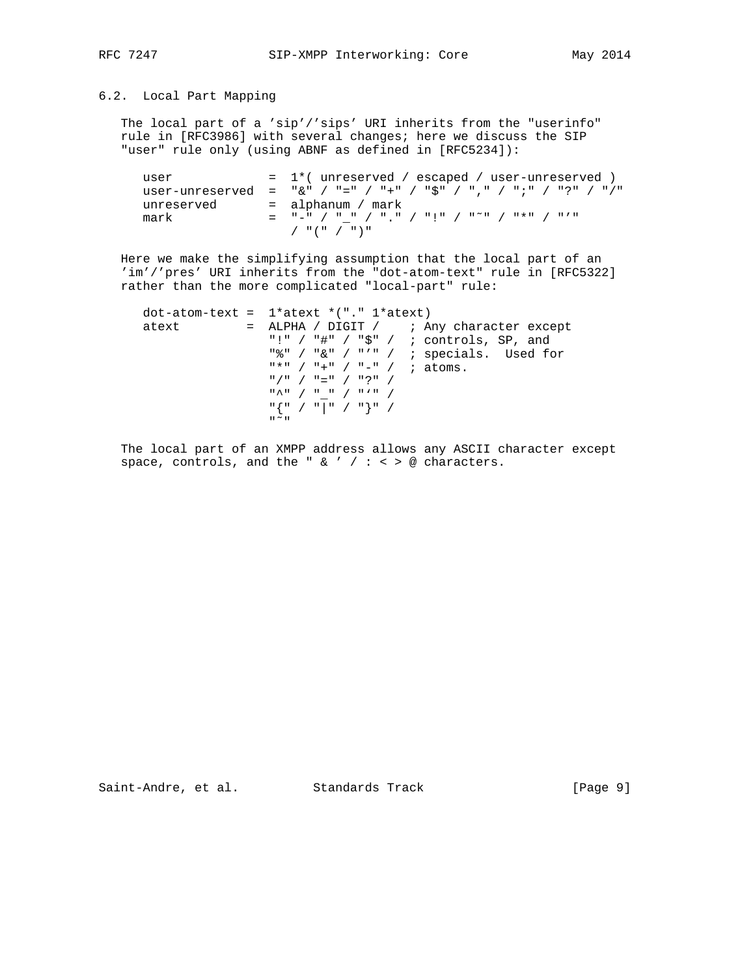### 6.2. Local Part Mapping

 The local part of a 'sip'/'sips' URI inherits from the "userinfo" rule in [RFC3986] with several changes; here we discuss the SIP "user" rule only (using ABNF as defined in [RFC5234]):

| user       | $= 1$ *(unreserved / escaped / user-unreserved )                 |
|------------|------------------------------------------------------------------|
|            | user-unreserved = "&" / "=" / "+" / "\$" / "," / ";" / "?" / "/" |
| unreserved | = alphanum / mark                                                |
| mark       | _ "_" / " " / " " / "!" / "~" / "*" / "/"                        |
|            | / "(" / ")"                                                      |

 Here we make the simplifying assumption that the local part of an 'im'/'pres' URI inherits from the "dot-atom-text" rule in [RFC5322] rather than the more complicated "local-part" rule:

|       | $dot$ -atom-text = $1*ater$ $*$ $"$ ." $1*ater$ )                                                                                                                                                                                                                                                                                                                                                                                                                                                             |
|-------|---------------------------------------------------------------------------------------------------------------------------------------------------------------------------------------------------------------------------------------------------------------------------------------------------------------------------------------------------------------------------------------------------------------------------------------------------------------------------------------------------------------|
| atext | $=$ ALPHA / DIGIT / ; Any character except                                                                                                                                                                                                                                                                                                                                                                                                                                                                    |
|       | "!" / "#" / "\$" / ; controls, SP, and                                                                                                                                                                                                                                                                                                                                                                                                                                                                        |
|       | "%" / " $\&$ " / "'" / ; specials. Used for                                                                                                                                                                                                                                                                                                                                                                                                                                                                   |
|       | $"$ *" / "+" / "-" / ; atoms.                                                                                                                                                                                                                                                                                                                                                                                                                                                                                 |
|       | $\binom{n}{1}$ / $\binom{n}{2}$ / $\binom{n}{3}$ / $\binom{n}{4}$                                                                                                                                                                                                                                                                                                                                                                                                                                             |
|       | $\begin{array}{c cccc}\n\texttt{max} & \texttt{max} & \texttt{max} & \texttt{max} & \texttt{max} & \texttt{max} & \texttt{max} & \texttt{max} & \texttt{max} & \texttt{max} & \texttt{max} & \texttt{max} & \texttt{max} & \texttt{max} & \texttt{max} & \texttt{max} & \texttt{max} & \texttt{max} & \texttt{max} & \texttt{max} & \texttt{max} & \texttt{max} & \texttt{max} & \texttt{max} & \texttt{max} & \texttt{max} & \texttt{max} & \texttt{max} & \texttt{max} & \texttt{max} &$                    |
|       | $\begin{array}{c} \mathbb{I} \left\{ \begin{array}{c} \mathbb{I} \end{array} \right. \left\{ \begin{array}{c} \mathbb{I} \end{array} \right. \left\{ \begin{array}{c} \mathbb{I} \end{array} \right. \left\{ \begin{array}{c} \mathbb{I} \end{array} \right. \left\{ \begin{array}{c} \mathbb{I} \end{array} \right. \left\{ \begin{array}{c} \mathbb{I} \end{array} \right. \left\{ \begin{array}{c} \mathbb{I} \end{array} \right. \left\{ \begin{array}{c} \mathbb{I} \end{array} \right. \left\{ \begin{$ |
|       | $\mathbf{u} \sim \mathbf{u}$                                                                                                                                                                                                                                                                                                                                                                                                                                                                                  |

 The local part of an XMPP address allows any ASCII character except space, controls, and the "  $\&$  ' / : < > @ characters.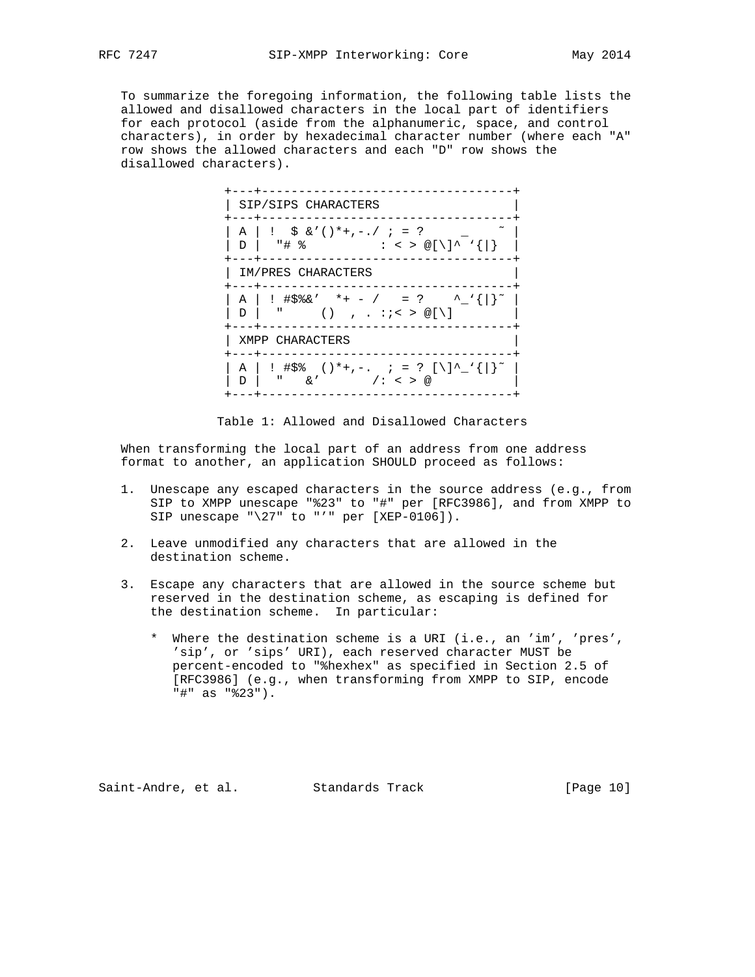To summarize the foregoing information, the following table lists the allowed and disallowed characters in the local part of identifiers for each protocol (aside from the alphanumeric, space, and control characters), in order by hexadecimal character number (where each "A" row shows the allowed characters and each "D" row shows the disallowed characters).



Table 1: Allowed and Disallowed Characters

 When transforming the local part of an address from one address format to another, an application SHOULD proceed as follows:

- 1. Unescape any escaped characters in the source address (e.g., from SIP to XMPP unescape "%23" to "#" per [RFC3986], and from XMPP to SIP unescape " $\27$ " to "'" per [XEP-0106]).
- 2. Leave unmodified any characters that are allowed in the destination scheme.
- 3. Escape any characters that are allowed in the source scheme but reserved in the destination scheme, as escaping is defined for the destination scheme. In particular:
	- \* Where the destination scheme is a URI (i.e., an 'im', 'pres', 'sip', or 'sips' URI), each reserved character MUST be percent-encoded to "%hexhex" as specified in Section 2.5 of [RFC3986] (e.g., when transforming from XMPP to SIP, encode "#" as "%23").

Saint-Andre, et al. Standards Track [Page 10]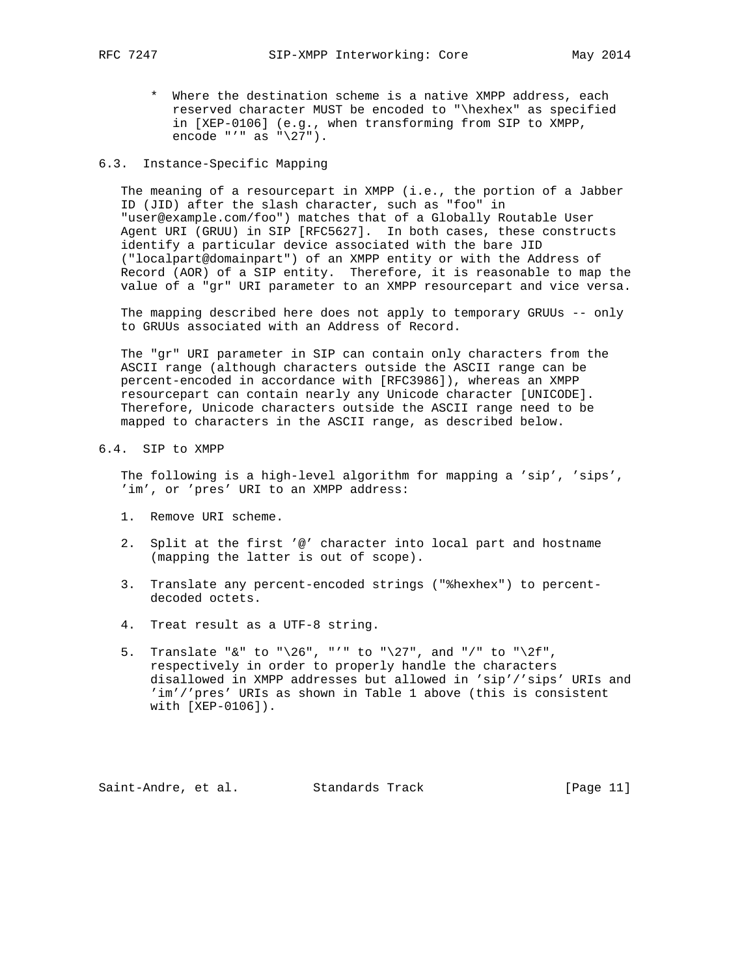\* Where the destination scheme is a native XMPP address, each reserved character MUST be encoded to "\hexhex" as specified in [XEP-0106] (e.g., when transforming from SIP to XMPP, encode "'" as "\27").

### 6.3. Instance-Specific Mapping

 The meaning of a resourcepart in XMPP (i.e., the portion of a Jabber ID (JID) after the slash character, such as "foo" in "user@example.com/foo") matches that of a Globally Routable User Agent URI (GRUU) in SIP [RFC5627]. In both cases, these constructs identify a particular device associated with the bare JID ("localpart@domainpart") of an XMPP entity or with the Address of Record (AOR) of a SIP entity. Therefore, it is reasonable to map the value of a "gr" URI parameter to an XMPP resourcepart and vice versa.

 The mapping described here does not apply to temporary GRUUs -- only to GRUUs associated with an Address of Record.

 The "gr" URI parameter in SIP can contain only characters from the ASCII range (although characters outside the ASCII range can be percent-encoded in accordance with [RFC3986]), whereas an XMPP resourcepart can contain nearly any Unicode character [UNICODE]. Therefore, Unicode characters outside the ASCII range need to be mapped to characters in the ASCII range, as described below.

# 6.4. SIP to XMPP

 The following is a high-level algorithm for mapping a 'sip', 'sips', 'im', or 'pres' URI to an XMPP address:

- 1. Remove URI scheme.
- 2. Split at the first '@' character into local part and hostname (mapping the latter is out of scope).
- 3. Translate any percent-encoded strings ("%hexhex") to percent decoded octets.
- 4. Treat result as a UTF-8 string.
- 5. Translate "&" to "\26", "'" to "\27", and "/" to "\2f", respectively in order to properly handle the characters disallowed in XMPP addresses but allowed in 'sip'/'sips' URIs and 'im'/'pres' URIs as shown in Table 1 above (this is consistent with [XEP-0106]).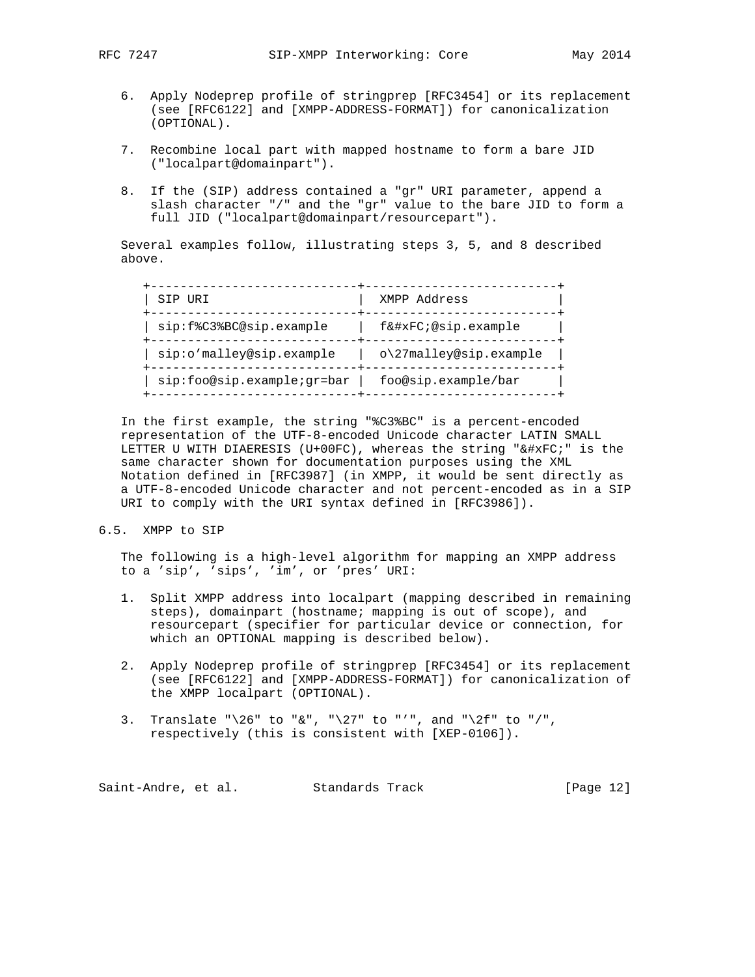- 6. Apply Nodeprep profile of stringprep [RFC3454] or its replacement (see [RFC6122] and [XMPP-ADDRESS-FORMAT]) for canonicalization (OPTIONAL).
- 7. Recombine local part with mapped hostname to form a bare JID ("localpart@domainpart").
- 8. If the (SIP) address contained a "gr" URI parameter, append a slash character "/" and the "gr" value to the bare JID to form a full JID ("localpart@domainpart/resourcepart").

 Several examples follow, illustrating steps 3, 5, and 8 described above.

| SIP URI                    | XMPP Address           |
|----------------------------|------------------------|
| sip:f%C3%BC@sip.example    | fü@sip.example         |
| sip:o'malley@sip.example   | o\27malley@sip.example |
| sip:foo@sip.example;gr=bar | foo@sip.example/bar    |

 In the first example, the string "%C3%BC" is a percent-encoded representation of the UTF-8-encoded Unicode character LATIN SMALL LETTER U WITH DIAERESIS (U+00FC), whereas the string "ü" is the same character shown for documentation purposes using the XML Notation defined in [RFC3987] (in XMPP, it would be sent directly as a UTF-8-encoded Unicode character and not percent-encoded as in a SIP URI to comply with the URI syntax defined in [RFC3986]).

6.5. XMPP to SIP

 The following is a high-level algorithm for mapping an XMPP address to a 'sip', 'sips', 'im', or 'pres' URI:

- 1. Split XMPP address into localpart (mapping described in remaining steps), domainpart (hostname; mapping is out of scope), and resourcepart (specifier for particular device or connection, for which an OPTIONAL mapping is described below).
- 2. Apply Nodeprep profile of stringprep [RFC3454] or its replacement (see [RFC6122] and [XMPP-ADDRESS-FORMAT]) for canonicalization of the XMPP localpart (OPTIONAL).
- 3. Translate " $\26$ " to "&", " $\27$ " to "'", and " $\2f$ " to "/", respectively (this is consistent with [XEP-0106]).

Saint-Andre, et al. Standards Track [Page 12]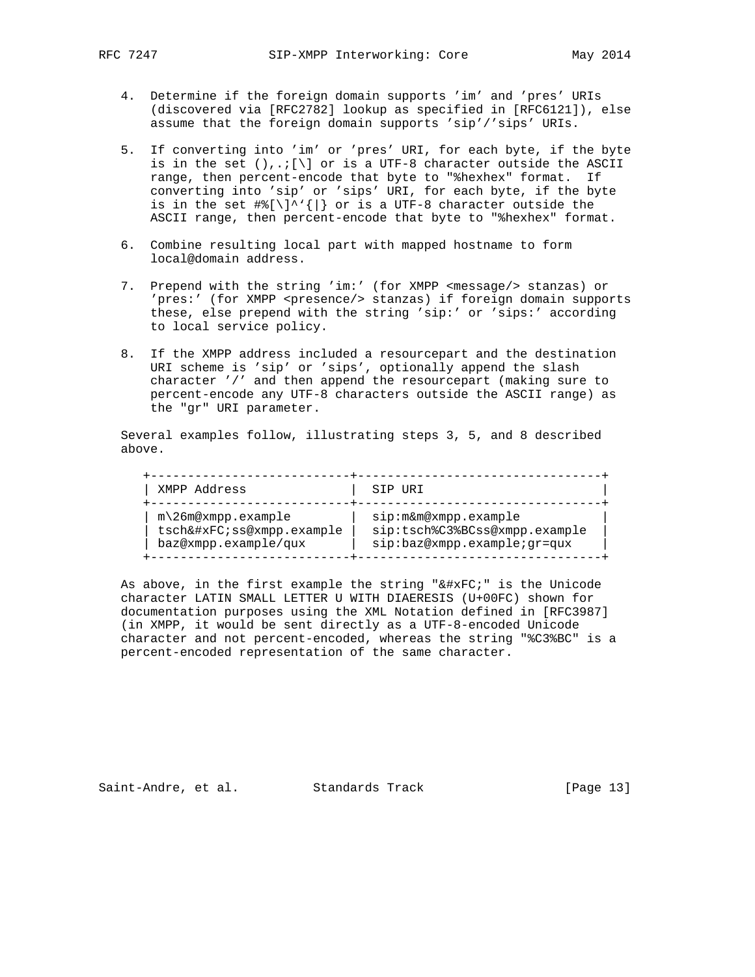- 4. Determine if the foreign domain supports 'im' and 'pres' URIs (discovered via [RFC2782] lookup as specified in [RFC6121]), else assume that the foreign domain supports 'sip'/'sips' URIs.
- 5. If converting into 'im' or 'pres' URI, for each byte, if the byte is in the set  $( ) , . ; [ \n\t\} ]$  or is a UTF-8 character outside the ASCII range, then percent-encode that byte to "%hexhex" format. If converting into 'sip' or 'sips' URI, for each byte, if the byte is in the set  $\#\{[\n] \cdot \}'[\n]$  or is a UTF-8 character outside the ASCII range, then percent-encode that byte to "%hexhex" format.
- 6. Combine resulting local part with mapped hostname to form local@domain address.
- 7. Prepend with the string 'im:' (for XMPP <message/> stanzas) or 'pres:' (for XMPP <presence/> stanzas) if foreign domain supports these, else prepend with the string 'sip:' or 'sips:' according to local service policy.
- 8. If the XMPP address included a resourcepart and the destination URI scheme is 'sip' or 'sips', optionally append the slash character '/' and then append the resourcepart (making sure to percent-encode any UTF-8 characters outside the ASCII range) as the "gr" URI parameter.

 Several examples follow, illustrating steps 3, 5, and 8 described above.

| XMPP Address              | SIP URI                       |
|---------------------------|-------------------------------|
| $m\Omega$ 6m@xmpp.example | sip:m&m@xmpp.example          |
| tschüss@xmpp.example      | sip:tsch%C3%BCss@xmpp.example |
| baz@xmpp.example/qux      | sip:baz@xmpp.example;gr=qux   |

As above, in the first example the string " $ü$ ;" is the Unicode character LATIN SMALL LETTER U WITH DIAERESIS (U+00FC) shown for documentation purposes using the XML Notation defined in [RFC3987] (in XMPP, it would be sent directly as a UTF-8-encoded Unicode character and not percent-encoded, whereas the string "%C3%BC" is a percent-encoded representation of the same character.

Saint-Andre, et al. Standards Track [Page 13]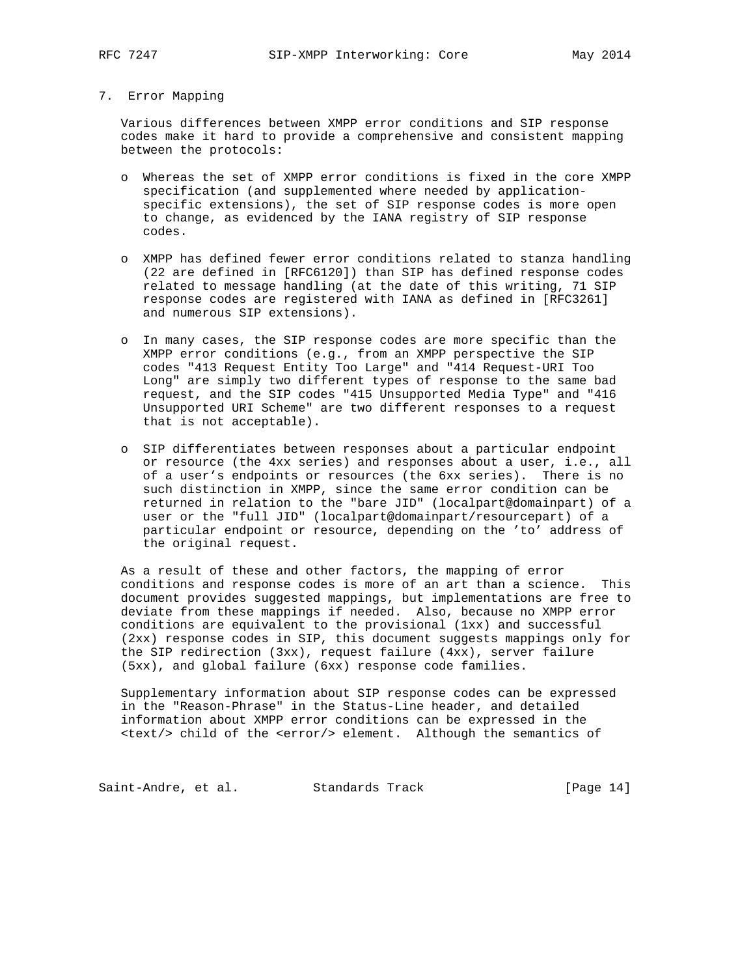#### 7. Error Mapping

 Various differences between XMPP error conditions and SIP response codes make it hard to provide a comprehensive and consistent mapping between the protocols:

- o Whereas the set of XMPP error conditions is fixed in the core XMPP specification (and supplemented where needed by application specific extensions), the set of SIP response codes is more open to change, as evidenced by the IANA registry of SIP response codes.
- o XMPP has defined fewer error conditions related to stanza handling (22 are defined in [RFC6120]) than SIP has defined response codes related to message handling (at the date of this writing, 71 SIP response codes are registered with IANA as defined in [RFC3261] and numerous SIP extensions).
- o In many cases, the SIP response codes are more specific than the XMPP error conditions (e.g., from an XMPP perspective the SIP codes "413 Request Entity Too Large" and "414 Request-URI Too Long" are simply two different types of response to the same bad request, and the SIP codes "415 Unsupported Media Type" and "416 Unsupported URI Scheme" are two different responses to a request that is not acceptable).
- o SIP differentiates between responses about a particular endpoint or resource (the 4xx series) and responses about a user, i.e., all of a user's endpoints or resources (the 6xx series). There is no such distinction in XMPP, since the same error condition can be returned in relation to the "bare JID" (localpart@domainpart) of a user or the "full JID" (localpart@domainpart/resourcepart) of a particular endpoint or resource, depending on the 'to' address of the original request.

 As a result of these and other factors, the mapping of error conditions and response codes is more of an art than a science. This document provides suggested mappings, but implementations are free to deviate from these mappings if needed. Also, because no XMPP error conditions are equivalent to the provisional (1xx) and successful (2xx) response codes in SIP, this document suggests mappings only for the SIP redirection (3xx), request failure (4xx), server failure (5xx), and global failure (6xx) response code families.

 Supplementary information about SIP response codes can be expressed in the "Reason-Phrase" in the Status-Line header, and detailed information about XMPP error conditions can be expressed in the <text/> child of the <error/> element. Although the semantics of

Saint-Andre, et al. Standards Track [Page 14]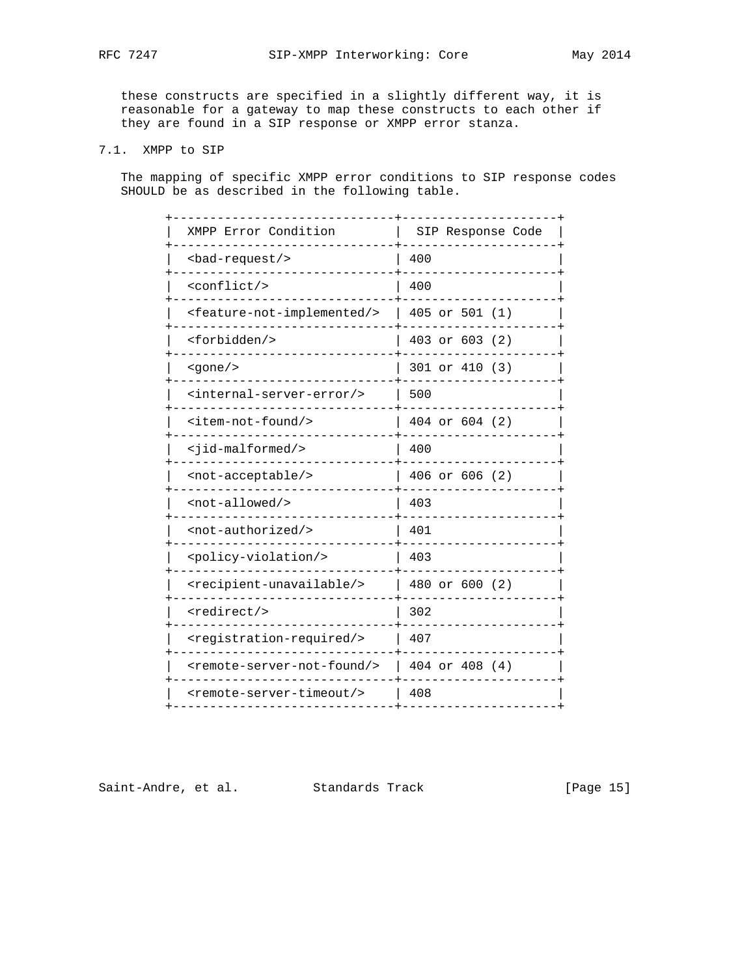these constructs are specified in a slightly different way, it is reasonable for a gateway to map these constructs to each other if they are found in a SIP response or XMPP error stanza.

## 7.1. XMPP to SIP

 The mapping of specific XMPP error conditions to SIP response codes SHOULD be as described in the following table.

| XMPP Error Condition                                | SIP Response Code |
|-----------------------------------------------------|-------------------|
| $<$ bad-request/>                                   | 400               |
| <conflict></conflict>                               | 400               |
| <feature-not-implemented></feature-not-implemented> | 405 or 501 $(1)$  |
| <forbidden></forbidden>                             | 403 or 603 (2)    |
| $<$ gone $/$ >                                      | 301 or 410 (3)    |
| <internal-server-error></internal-server-error>     | 500               |
| <item-not-found></item-not-found>                   | 404 or 604 (2)    |
| <jid-malformed></jid-malformed>                     | 400               |
| <not-acceptable></not-acceptable>                   | 406 or 606 (2)    |
| <not-allowed></not-allowed>                         | 403               |
| <not-authorized></not-authorized>                   | 401               |
| <policy-violation></policy-violation>               | 403               |
| <recipient-unavailable></recipient-unavailable>     | 480 or 600 (2)    |
| <redirect></redirect>                               | 302               |
| <registration-required></registration-required>     | 407               |
| <remote-server-not-found></remote-server-not-found> | 404 or 408 (4)    |
| <remote-server-timeout></remote-server-timeout>     | 408               |
|                                                     |                   |

Saint-Andre, et al. Standards Track [Page 15]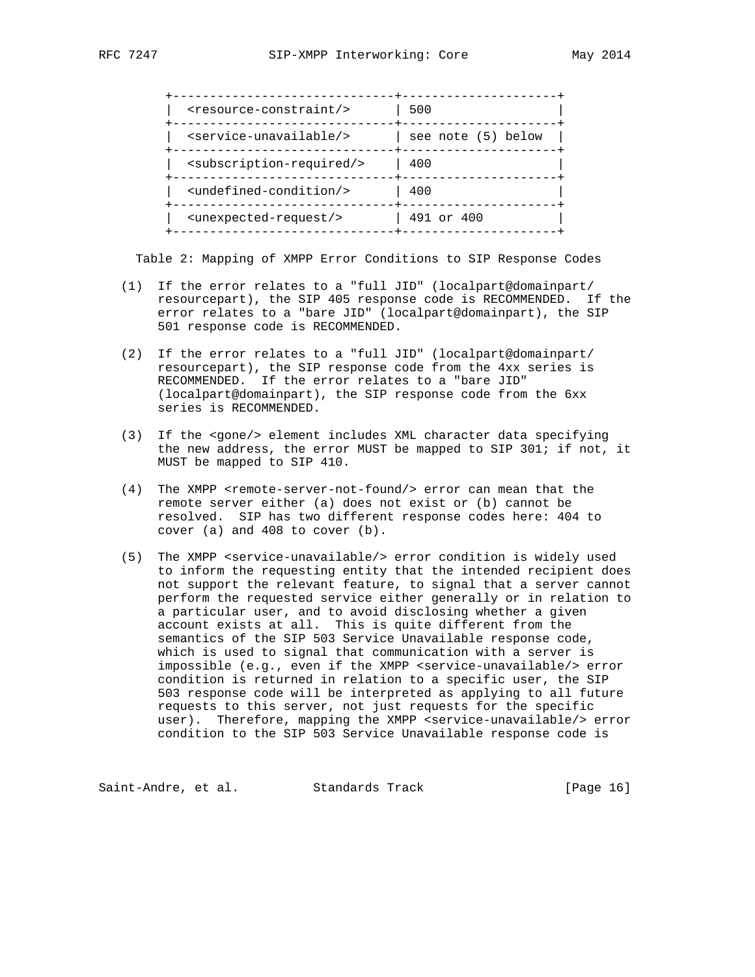| <resource-constraint></resource-constraint>     | 500                |
|-------------------------------------------------|--------------------|
| <service-unavailable></service-unavailable>     | see note (5) below |
| <subscription-required></subscription-required> | 400                |
| <undefined-condition></undefined-condition>     | 400                |
| <unexpected-request></unexpected-request>       | 491 or 400         |
|                                                 |                    |

Table 2: Mapping of XMPP Error Conditions to SIP Response Codes

- (1) If the error relates to a "full JID" (localpart@domainpart/ resourcepart), the SIP 405 response code is RECOMMENDED. If the error relates to a "bare JID" (localpart@domainpart), the SIP 501 response code is RECOMMENDED.
- (2) If the error relates to a "full JID" (localpart@domainpart/ resourcepart), the SIP response code from the 4xx series is RECOMMENDED. If the error relates to a "bare JID" (localpart@domainpart), the SIP response code from the 6xx series is RECOMMENDED.
- (3) If the <gone/> element includes XML character data specifying the new address, the error MUST be mapped to SIP 301; if not, it MUST be mapped to SIP 410.
- (4) The XMPP <remote-server-not-found/> error can mean that the remote server either (a) does not exist or (b) cannot be resolved. SIP has two different response codes here: 404 to cover (a) and 408 to cover (b).
- (5) The XMPP <service-unavailable/> error condition is widely used to inform the requesting entity that the intended recipient does not support the relevant feature, to signal that a server cannot perform the requested service either generally or in relation to a particular user, and to avoid disclosing whether a given account exists at all. This is quite different from the semantics of the SIP 503 Service Unavailable response code, which is used to signal that communication with a server is impossible (e.g., even if the XMPP <service-unavailable/> error condition is returned in relation to a specific user, the SIP 503 response code will be interpreted as applying to all future requests to this server, not just requests for the specific user). Therefore, mapping the XMPP <service-unavailable/> error condition to the SIP 503 Service Unavailable response code is

Saint-Andre, et al. Standards Track [Page 16]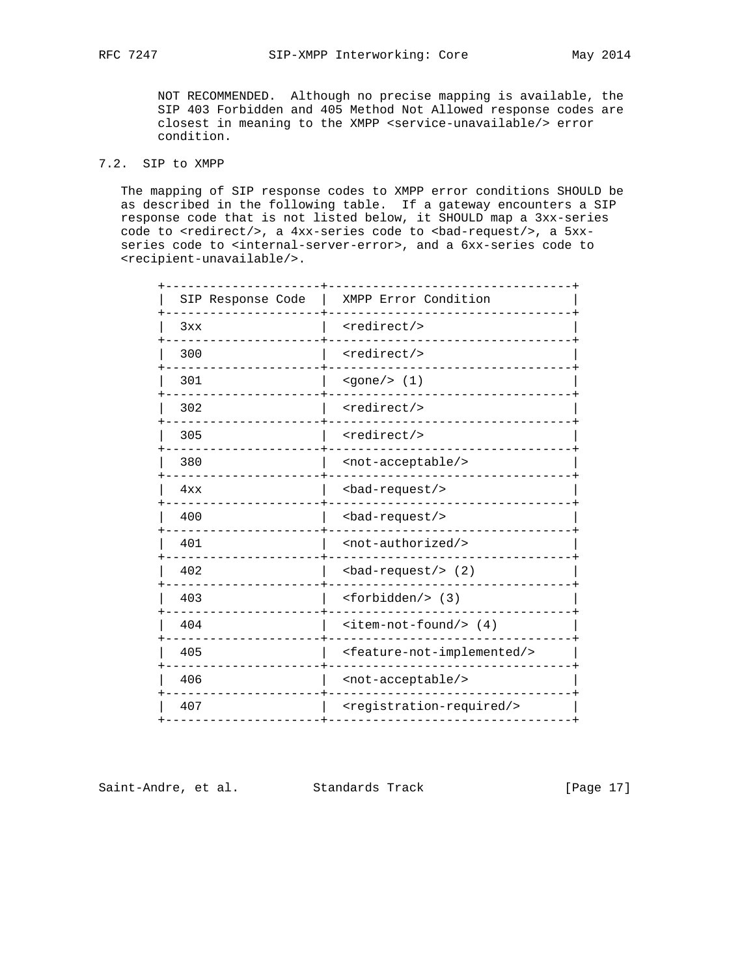NOT RECOMMENDED. Although no precise mapping is available, the SIP 403 Forbidden and 405 Method Not Allowed response codes are closest in meaning to the XMPP <service-unavailable/> error condition.

## 7.2. SIP to XMPP

 The mapping of SIP response codes to XMPP error conditions SHOULD be as described in the following table. If a gateway encounters a SIP response code that is not listed below, it SHOULD map a 3xx-series code to <redirect/>, a 4xx-series code to <br/> <br/> <br/> <br/> <br/>a 5xx series code to <internal-server-error>, and a 6xx-series code to <recipient-unavailable/>.

| SIP Response Code | XMPP Error Condition                                |
|-------------------|-----------------------------------------------------|
| 3xx               | <redirect></redirect>                               |
| 300               | <redirect></redirect>                               |
| 301               | $\text{space}/\text{>}$ (1)                         |
| 302               | <redirect></redirect>                               |
| 305               | <redirect></redirect>                               |
| 380               | <not-acceptable></not-acceptable>                   |
| 4xx               | <bad-request></bad-request>                         |
| 400               | <bad-request></bad-request>                         |
| 401               | <not-authorized></not-authorized>                   |
| 402               | $bad-request/>(2)$                                  |
| 403               | $<$ forbidden/> $(3)$                               |
| 404               | $\text{item-not-found/>}(4)$                        |
| 405               | <feature-not-implemented></feature-not-implemented> |
| 406               | <not-acceptable></not-acceptable>                   |
| 407               | <registration-required></registration-required>     |
|                   |                                                     |

Saint-Andre, et al. Standards Track [Page 17]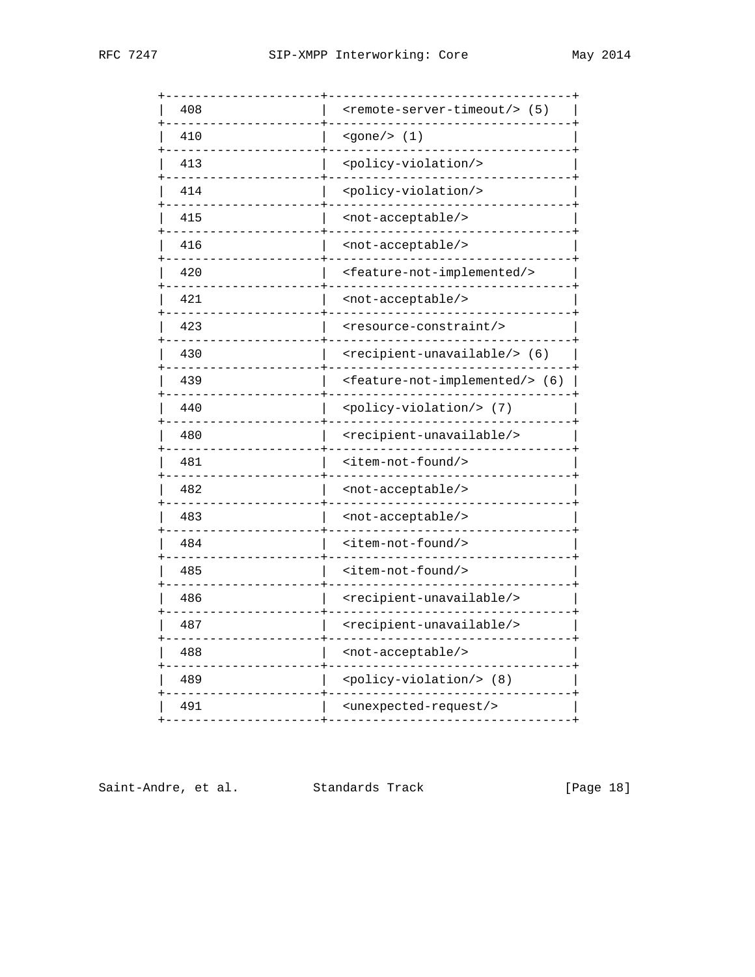| 408 | <remote-server-timeout></remote-server-timeout> (5)     |
|-----|---------------------------------------------------------|
| 410 | <gone></gone><br>(1)                                    |
| 413 | <policy-violation></policy-violation>                   |
| 414 | <policy-violation></policy-violation>                   |
| 415 | <not-acceptable></not-acceptable>                       |
| 416 | <not-acceptable></not-acceptable>                       |
| 420 | <feature-not-implemented></feature-not-implemented>     |
| 421 | <not-acceptable></not-acceptable>                       |
| 423 | <resource-constraint></resource-constraint>             |
| 430 | <recipient-unavailable></recipient-unavailable> (6)     |
| 439 | <feature-not-implemented></feature-not-implemented> (6) |
| 440 | <policy-violation></policy-violation><br>(7)            |
| 480 | <recipient-unavailable></recipient-unavailable>         |
| 481 | <item-not-found></item-not-found>                       |
| 482 | -acceptable/><br><not< td=""></not<>                    |
| 483 | <not-acceptable></not-acceptable>                       |
| 484 | <item-not-found></item-not-found>                       |
| 485 | <item-not-found></item-not-found>                       |
| 486 | <recipient-unavailable></recipient-unavailable>         |
| 487 | <recipient-unavailable></recipient-unavailable>         |
| 488 | <not-acceptable></not-acceptable>                       |
| 489 | <policy-violation></policy-violation> (8)               |
| 491 | <unexpected-request></unexpected-request>               |
|     |                                                         |

Saint-Andre, et al. Standards Track [Page 18]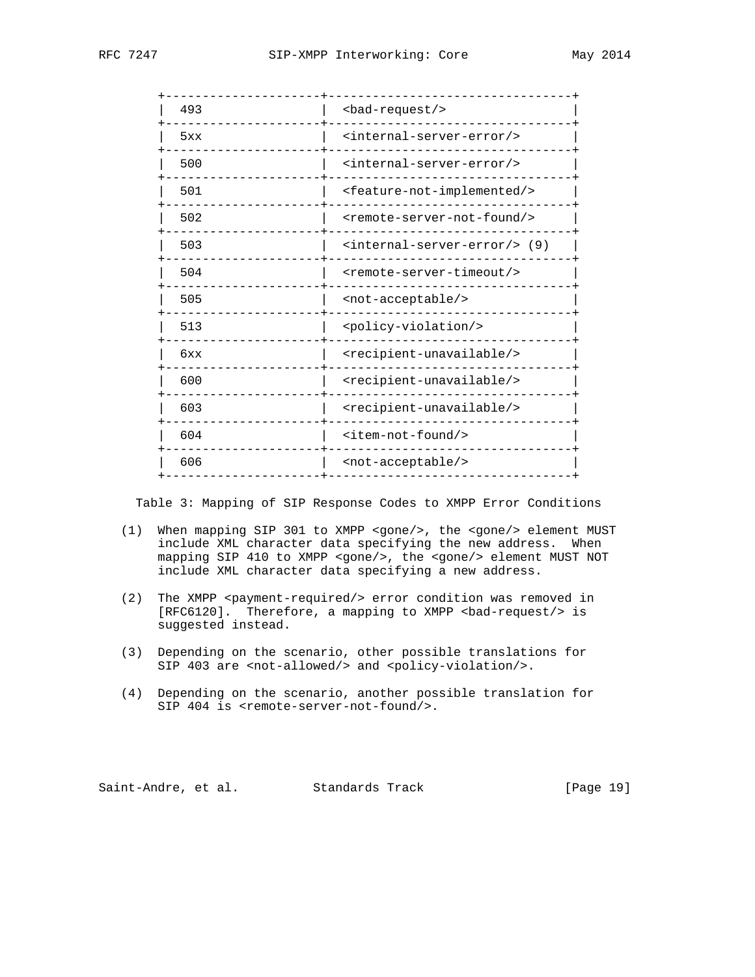| 493 | <bad-request></bad-request>                         |
|-----|-----------------------------------------------------|
| 5xx | <internal-server-error></internal-server-error>     |
| 500 | <internal-server-error></internal-server-error>     |
| 501 | <feature-not-implemented></feature-not-implemented> |
| 502 | <remote-server-not-found></remote-server-not-found> |
| 503 | <internal-server-error></internal-server-error> (9) |
| 504 | <remote-server-timeout></remote-server-timeout>     |
| 505 | <not-acceptable></not-acceptable>                   |
| 513 | <policy-violation></policy-violation>               |
| 6xx | <recipient-unavailable></recipient-unavailable>     |
| 600 | <recipient-unavailable></recipient-unavailable>     |
| 603 | <recipient-unavailable></recipient-unavailable>     |
| 604 | <item-not-found></item-not-found>                   |
| 606 | <not-acceptable></not-acceptable>                   |
|     |                                                     |

Table 3: Mapping of SIP Response Codes to XMPP Error Conditions

- (1) When mapping SIP 301 to XMPP <gone/>, the <gone/> element MUST include XML character data specifying the new address. When mapping SIP 410 to XMPP <gone/>, the <gone/> element MUST NOT include XML character data specifying a new address.
- (2) The XMPP <payment-required/> error condition was removed in [RFC6120]. Therefore, a mapping to XMPP <br/>bad-request/> is suggested instead.
- (3) Depending on the scenario, other possible translations for SIP 403 are <not-allowed/> and <policy-violation/>.
- (4) Depending on the scenario, another possible translation for SIP 404 is <remote-server-not-found/>.

Saint-Andre, et al. Standards Track [Page 19]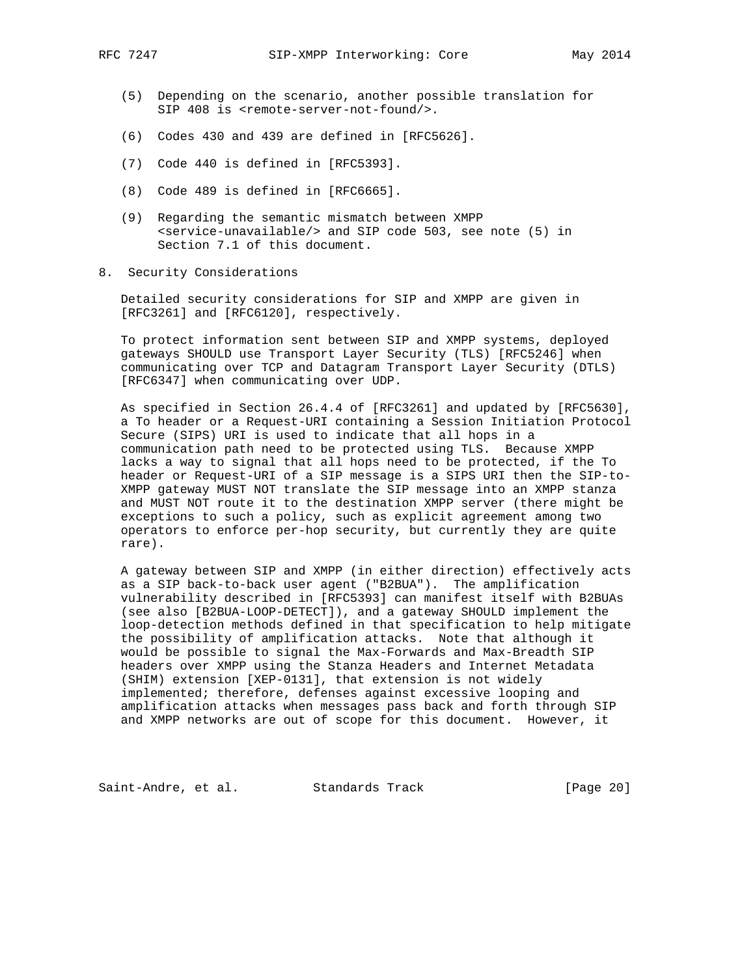- (5) Depending on the scenario, another possible translation for SIP 408 is <remote-server-not-found/>.
- (6) Codes 430 and 439 are defined in [RFC5626].
- (7) Code 440 is defined in [RFC5393].
- (8) Code 489 is defined in [RFC6665].
- (9) Regarding the semantic mismatch between XMPP <service-unavailable/> and SIP code 503, see note (5) in Section 7.1 of this document.
- 8. Security Considerations

 Detailed security considerations for SIP and XMPP are given in [RFC3261] and [RFC6120], respectively.

 To protect information sent between SIP and XMPP systems, deployed gateways SHOULD use Transport Layer Security (TLS) [RFC5246] when communicating over TCP and Datagram Transport Layer Security (DTLS) [RFC6347] when communicating over UDP.

 As specified in Section 26.4.4 of [RFC3261] and updated by [RFC5630], a To header or a Request-URI containing a Session Initiation Protocol Secure (SIPS) URI is used to indicate that all hops in a communication path need to be protected using TLS. Because XMPP lacks a way to signal that all hops need to be protected, if the To header or Request-URI of a SIP message is a SIPS URI then the SIP-to- XMPP gateway MUST NOT translate the SIP message into an XMPP stanza and MUST NOT route it to the destination XMPP server (there might be exceptions to such a policy, such as explicit agreement among two operators to enforce per-hop security, but currently they are quite rare).

 A gateway between SIP and XMPP (in either direction) effectively acts as a SIP back-to-back user agent ("B2BUA"). The amplification vulnerability described in [RFC5393] can manifest itself with B2BUAs (see also [B2BUA-LOOP-DETECT]), and a gateway SHOULD implement the loop-detection methods defined in that specification to help mitigate the possibility of amplification attacks. Note that although it would be possible to signal the Max-Forwards and Max-Breadth SIP headers over XMPP using the Stanza Headers and Internet Metadata (SHIM) extension [XEP-0131], that extension is not widely implemented; therefore, defenses against excessive looping and amplification attacks when messages pass back and forth through SIP and XMPP networks are out of scope for this document. However, it

Saint-Andre, et al. Standards Track [Page 20]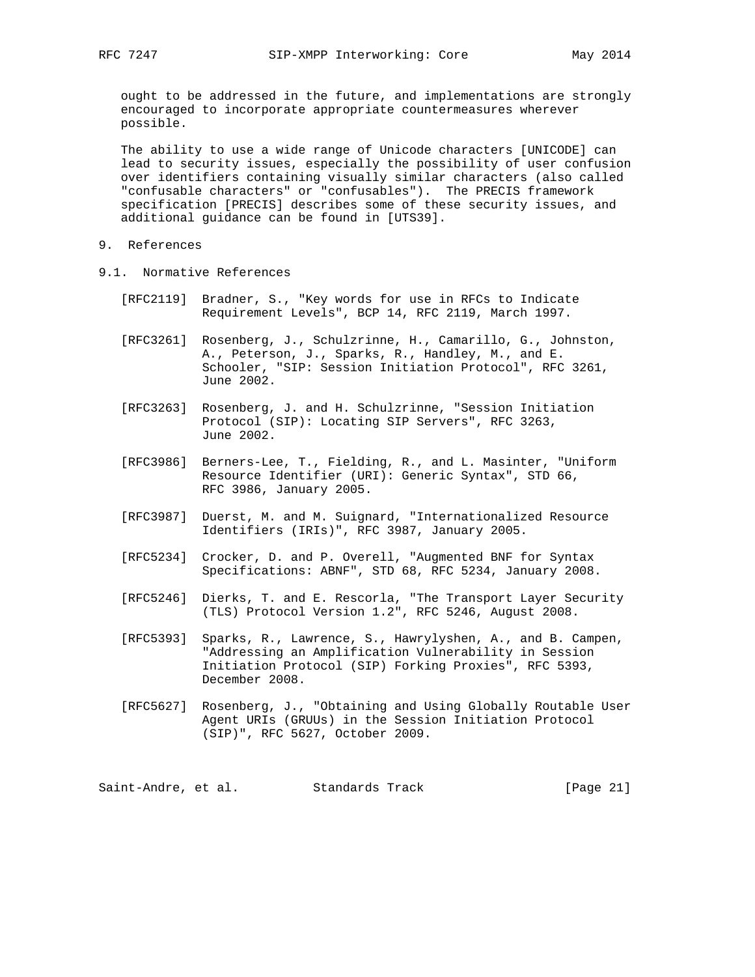ought to be addressed in the future, and implementations are strongly encouraged to incorporate appropriate countermeasures wherever possible.

 The ability to use a wide range of Unicode characters [UNICODE] can lead to security issues, especially the possibility of user confusion over identifiers containing visually similar characters (also called "confusable characters" or "confusables"). The PRECIS framework specification [PRECIS] describes some of these security issues, and additional guidance can be found in [UTS39].

- 9. References
- 9.1. Normative References
	- [RFC2119] Bradner, S., "Key words for use in RFCs to Indicate Requirement Levels", BCP 14, RFC 2119, March 1997.
	- [RFC3261] Rosenberg, J., Schulzrinne, H., Camarillo, G., Johnston, A., Peterson, J., Sparks, R., Handley, M., and E. Schooler, "SIP: Session Initiation Protocol", RFC 3261, June 2002.
	- [RFC3263] Rosenberg, J. and H. Schulzrinne, "Session Initiation Protocol (SIP): Locating SIP Servers", RFC 3263, June 2002.
	- [RFC3986] Berners-Lee, T., Fielding, R., and L. Masinter, "Uniform Resource Identifier (URI): Generic Syntax", STD 66, RFC 3986, January 2005.
	- [RFC3987] Duerst, M. and M. Suignard, "Internationalized Resource Identifiers (IRIs)", RFC 3987, January 2005.
	- [RFC5234] Crocker, D. and P. Overell, "Augmented BNF for Syntax Specifications: ABNF", STD 68, RFC 5234, January 2008.
- [RFC5246] Dierks, T. and E. Rescorla, "The Transport Layer Security (TLS) Protocol Version 1.2", RFC 5246, August 2008.
	- [RFC5393] Sparks, R., Lawrence, S., Hawrylyshen, A., and B. Campen, "Addressing an Amplification Vulnerability in Session Initiation Protocol (SIP) Forking Proxies", RFC 5393, December 2008.
	- [RFC5627] Rosenberg, J., "Obtaining and Using Globally Routable User Agent URIs (GRUUs) in the Session Initiation Protocol (SIP)", RFC 5627, October 2009.

Saint-Andre, et al. Standards Track [Page 21]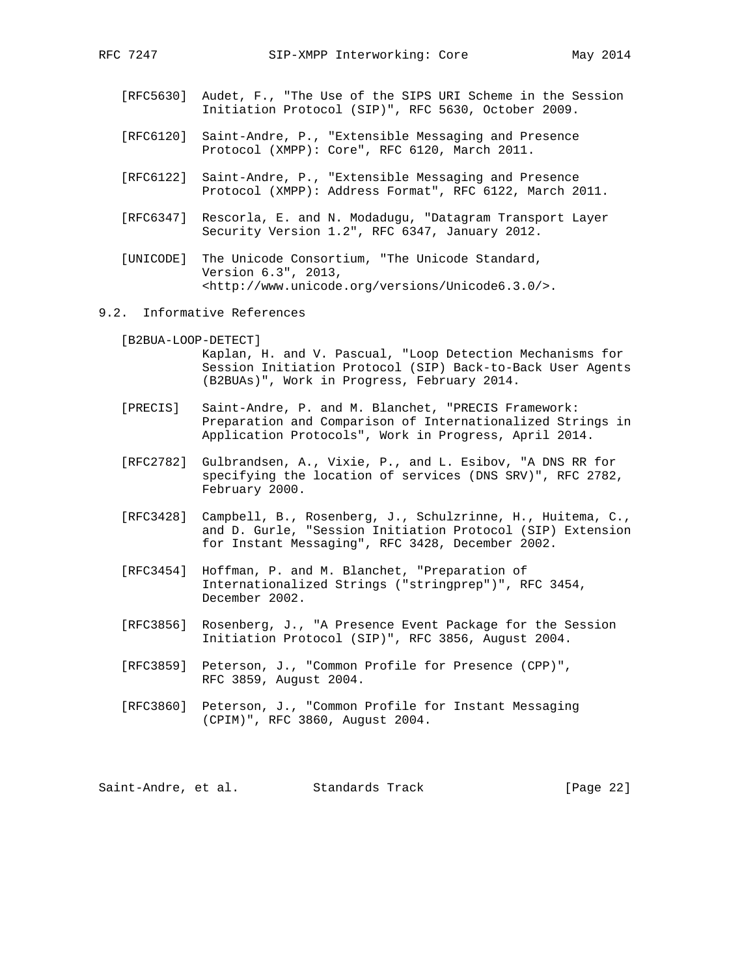- [RFC5630] Audet, F., "The Use of the SIPS URI Scheme in the Session Initiation Protocol (SIP)", RFC 5630, October 2009.
- [RFC6120] Saint-Andre, P., "Extensible Messaging and Presence Protocol (XMPP): Core", RFC 6120, March 2011.
- [RFC6122] Saint-Andre, P., "Extensible Messaging and Presence Protocol (XMPP): Address Format", RFC 6122, March 2011.
- [RFC6347] Rescorla, E. and N. Modadugu, "Datagram Transport Layer Security Version 1.2", RFC 6347, January 2012.
- [UNICODE] The Unicode Consortium, "The Unicode Standard, Version 6.3", 2013, <http://www.unicode.org/versions/Unicode6.3.0/>.
- 9.2. Informative References

 [B2BUA-LOOP-DETECT] Kaplan, H. and V. Pascual, "Loop Detection Mechanisms for Session Initiation Protocol (SIP) Back-to-Back User Agents (B2BUAs)", Work in Progress, February 2014.

- [PRECIS] Saint-Andre, P. and M. Blanchet, "PRECIS Framework: Preparation and Comparison of Internationalized Strings in Application Protocols", Work in Progress, April 2014.
- [RFC2782] Gulbrandsen, A., Vixie, P., and L. Esibov, "A DNS RR for specifying the location of services (DNS SRV)", RFC 2782, February 2000.
- [RFC3428] Campbell, B., Rosenberg, J., Schulzrinne, H., Huitema, C., and D. Gurle, "Session Initiation Protocol (SIP) Extension for Instant Messaging", RFC 3428, December 2002.
- [RFC3454] Hoffman, P. and M. Blanchet, "Preparation of Internationalized Strings ("stringprep")", RFC 3454, December 2002.
- [RFC3856] Rosenberg, J., "A Presence Event Package for the Session Initiation Protocol (SIP)", RFC 3856, August 2004.
- [RFC3859] Peterson, J., "Common Profile for Presence (CPP)", RFC 3859, August 2004.
- [RFC3860] Peterson, J., "Common Profile for Instant Messaging (CPIM)", RFC 3860, August 2004.

Saint-Andre, et al. Standards Track [Page 22]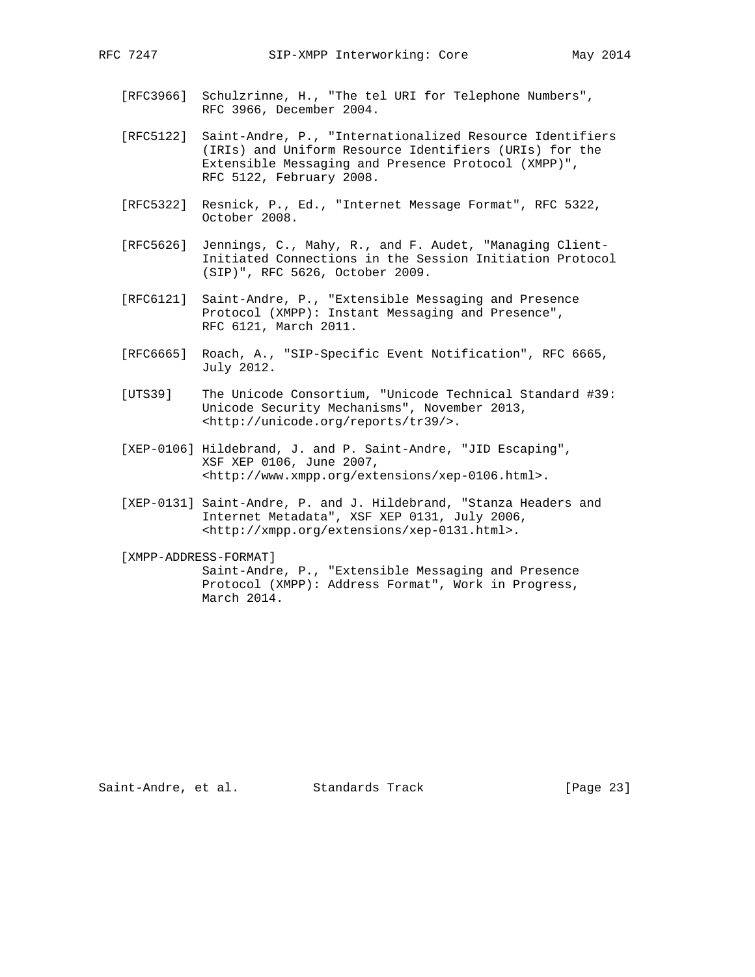- [RFC3966] Schulzrinne, H., "The tel URI for Telephone Numbers", RFC 3966, December 2004.
- [RFC5122] Saint-Andre, P., "Internationalized Resource Identifiers (IRIs) and Uniform Resource Identifiers (URIs) for the Extensible Messaging and Presence Protocol (XMPP)", RFC 5122, February 2008.
- [RFC5322] Resnick, P., Ed., "Internet Message Format", RFC 5322, October 2008.
- [RFC5626] Jennings, C., Mahy, R., and F. Audet, "Managing Client- Initiated Connections in the Session Initiation Protocol (SIP)", RFC 5626, October 2009.
- [RFC6121] Saint-Andre, P., "Extensible Messaging and Presence Protocol (XMPP): Instant Messaging and Presence", RFC 6121, March 2011.
- [RFC6665] Roach, A., "SIP-Specific Event Notification", RFC 6665, July 2012.
- [UTS39] The Unicode Consortium, "Unicode Technical Standard #39: Unicode Security Mechanisms", November 2013, <http://unicode.org/reports/tr39/>.
- [XEP-0106] Hildebrand, J. and P. Saint-Andre, "JID Escaping", XSF XEP 0106, June 2007, <http://www.xmpp.org/extensions/xep-0106.html>.
- [XEP-0131] Saint-Andre, P. and J. Hildebrand, "Stanza Headers and Internet Metadata", XSF XEP 0131, July 2006, <http://xmpp.org/extensions/xep-0131.html>.

 [XMPP-ADDRESS-FORMAT] Saint-Andre, P., "Extensible Messaging and Presence Protocol (XMPP): Address Format", Work in Progress, March 2014.